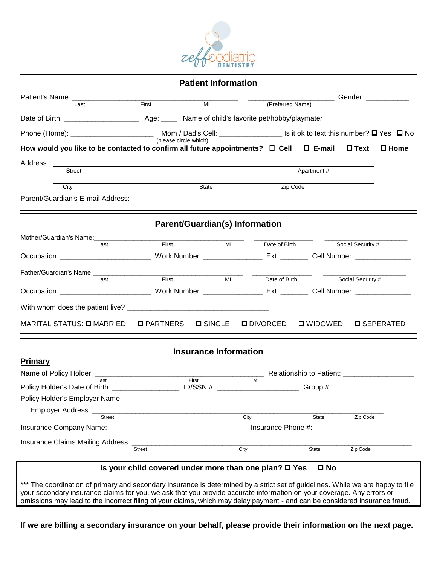

| <b>Patient Information</b> |  |  |
|----------------------------|--|--|
|----------------------------|--|--|

|                                                                                                                                                                                                                                        | First                                                      |                                       |      |                  |                         |                   | Gender: _____________ |
|----------------------------------------------------------------------------------------------------------------------------------------------------------------------------------------------------------------------------------------|------------------------------------------------------------|---------------------------------------|------|------------------|-------------------------|-------------------|-----------------------|
| Last                                                                                                                                                                                                                                   |                                                            | $\overline{MI}$                       |      | (Preferred Name) |                         |                   |                       |
|                                                                                                                                                                                                                                        |                                                            |                                       |      |                  |                         |                   |                       |
|                                                                                                                                                                                                                                        |                                                            |                                       |      |                  |                         |                   |                       |
| How would you like to be contacted to confirm all future appointments? $\Box$ Cell $\Box$ E-mail                                                                                                                                       |                                                            |                                       |      |                  |                         | $\square$ Text    | $\square$ Home        |
| Address: ________                                                                                                                                                                                                                      |                                                            |                                       |      |                  |                         |                   |                       |
| Street                                                                                                                                                                                                                                 |                                                            |                                       |      |                  | Apartment #             |                   |                       |
| City                                                                                                                                                                                                                                   |                                                            | State                                 |      | Zip Code         |                         |                   |                       |
|                                                                                                                                                                                                                                        |                                                            |                                       |      |                  |                         |                   |                       |
|                                                                                                                                                                                                                                        |                                                            |                                       |      |                  |                         |                   |                       |
|                                                                                                                                                                                                                                        |                                                            | <b>Parent/Guardian(s) Information</b> |      |                  |                         |                   |                       |
| Mother/Guardian's Name:                                                                                                                                                                                                                |                                                            |                                       |      |                  |                         |                   |                       |
| Last                                                                                                                                                                                                                                   | First                                                      | MI                                    |      | Date of Birth    |                         | Social Security # |                       |
|                                                                                                                                                                                                                                        |                                                            |                                       |      |                  |                         |                   |                       |
| Father/Guardian's Name:<br><u>[</u> [11][12] Data Lands and San Lands and San Lands and San Lands and San Lands and San Lands and San Lands and San Lands and San Lands and San Lands and San Lands and San Lands and San Lands and Sa | First                                                      | MI                                    |      |                  |                         |                   |                       |
| Last                                                                                                                                                                                                                                   |                                                            |                                       |      | Date of Birth    |                         | Social Security # |                       |
|                                                                                                                                                                                                                                        |                                                            |                                       |      |                  |                         |                   |                       |
|                                                                                                                                                                                                                                        |                                                            |                                       |      |                  |                         |                   |                       |
| MARITAL STATUS: <b>O</b> MARRIED                                                                                                                                                                                                       | <b>O</b> PARTNERS                                          | <b>D</b> SINGLE                       |      | <b>ODIVORCED</b> | <b>Q</b> WIDOWED        |                   | <b>D SEPERATED</b>    |
|                                                                                                                                                                                                                                        |                                                            | <b>Insurance Information</b>          |      |                  |                         |                   |                       |
| <b>Primary</b>                                                                                                                                                                                                                         |                                                            |                                       |      |                  |                         |                   |                       |
|                                                                                                                                                                                                                                        |                                                            |                                       | MI   |                  |                         |                   |                       |
| Last<br>Policy Holder's Date of Birth: ______________________ ID/SSN #: ___________________________Group #: ___________                                                                                                                |                                                            | First                                 |      |                  |                         |                   |                       |
|                                                                                                                                                                                                                                        |                                                            |                                       |      |                  |                         |                   |                       |
| Employer Address: ___                                                                                                                                                                                                                  |                                                            |                                       |      |                  |                         |                   |                       |
| <b>Street</b>                                                                                                                                                                                                                          |                                                            |                                       | City |                  | <b>State</b>            | Zip Code          |                       |
| Insurance Company Name: ___                                                                                                                                                                                                            |                                                            |                                       |      |                  | Insurance Phone #: ____ |                   |                       |
| <b>Insurance Claims Mailing Address:</b>                                                                                                                                                                                               | <b>Street</b>                                              |                                       | City |                  | State                   | Zip Code          |                       |
|                                                                                                                                                                                                                                        |                                                            |                                       |      |                  |                         |                   |                       |
|                                                                                                                                                                                                                                        | Is your child covered under more than one plan? $\Box$ Yes |                                       |      |                  | $\square$ No            |                   |                       |
| *** The coordination of primary and secondary insurance is determined by a strict set of guidelines. While we are happy to file                                                                                                        |                                                            |                                       |      |                  |                         |                   |                       |
| your secondary insurance claims for you, we ask that you provide accurate information on your coverage. Any errors or                                                                                                                  |                                                            |                                       |      |                  |                         |                   |                       |
| omissions may lead to the incorrect filing of your claims, which may delay payment - and can be considered insurance fraud.                                                                                                            |                                                            |                                       |      |                  |                         |                   |                       |

**If we are billing a secondary insurance on your behalf, please provide their information on the next page.**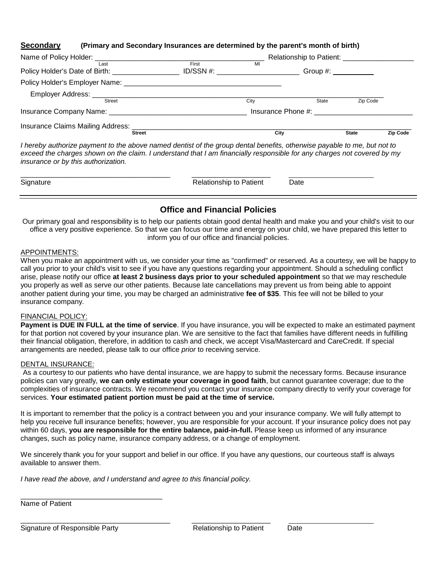### **Secondary (Primary and Secondary Insurances are determined by the parent's month of birth)**

|                                                   |                    |      | Relationship to Patient: ____________ |              |          |
|---------------------------------------------------|--------------------|------|---------------------------------------|--------------|----------|
| Last<br>Policy Holder's Date of Birth: __________ | First<br>ID/SSN #: | MI   |                                       |              |          |
| Policy Holder's Employer Name: _________          |                    |      |                                       |              |          |
| Employer Address:<br><b>Street</b>                |                    | City | State                                 | Zip Code     |          |
|                                                   |                    |      | Insurance Phone #:                    |              |          |
| Insurance Claims Mailing Address:                 | <b>Street</b>      | City |                                       | <b>State</b> | Zip Code |

*I hereby authorize payment to the above named dentist of the group dental benefits, otherwise payable to me, but not to exceed the charges shown on the claim. I understand that I am financially responsible for any charges not covered by my insurance or by this authorization.*

| Signature<br>Date<br><b>Relationship to Patient</b> |
|-----------------------------------------------------|
|-----------------------------------------------------|

# **Office and Financial Policies**

Our primary goal and responsibility is to help our patients obtain good dental health and make you and your child's visit to our office a very positive experience. So that we can focus our time and energy on your child, we have prepared this letter to inform you of our office and financial policies.

#### APPOINTMENTS:

When you make an appointment with us, we consider your time as "confirmed" or reserved. As a courtesy, we will be happy to call you prior to your child's visit to see if you have any questions regarding your appointment. Should a scheduling conflict arise, please notify our office **at least 2 business days prior to your scheduled appointment** so that we may reschedule you properly as well as serve our other patients. Because late cancellations may prevent us from being able to appoint another patient during your time, you may be charged an administrative **fee of \$35**. This fee will not be billed to your insurance company.

## FINANCIAL POLICY:

**Payment is DUE IN FULL at the time of service**. If you have insurance, you will be expected to make an estimated payment for that portion not covered by your insurance plan. We are sensitive to the fact that families have different needs in fulfilling their financial obligation, therefore, in addition to cash and check, we accept Visa/Mastercard and CareCredit. If special arrangements are needed, please talk to our office *prior* to receiving service.

#### DENTAL INSURANCE:

As a courtesy to our patients who have dental insurance, we are happy to submit the necessary forms. Because insurance policies can vary greatly, **we can only estimate your coverage in good faith**, but cannot guarantee coverage; due to the complexities of insurance contracts. We recommend you contact your insurance company directly to verify your coverage for services. **Your estimated patient portion must be paid at the time of service.**

It is important to remember that the policy is a contract between you and your insurance company. We will fully attempt to help you receive full insurance benefits; however, you are responsible for your account. If your insurance policy does not pay within 60 days, **you are responsible for the entire balance, paid-in-full.** Please keep us informed of any insurance changes, such as policy name, insurance company address, or a change of employment.

We sincerely thank you for your support and belief in our office. If you have any questions, our courteous staff is always available to answer them.

*I have read the above, and I understand and agree to this financial policy.*

\_\_\_\_\_\_\_\_\_\_\_\_\_\_\_\_\_\_\_\_\_\_\_\_\_\_\_\_\_\_\_\_\_\_\_\_\_\_ \_\_\_\_\_\_\_\_\_\_\_\_\_\_\_\_\_\_\_\_

Name of Patient

Signature of Responsible Party **Relationship to Patient** Date

\_\_\_\_\_\_\_\_\_\_\_\_\_\_\_\_\_\_\_\_\_\_\_\_\_\_\_\_\_\_\_\_\_\_\_\_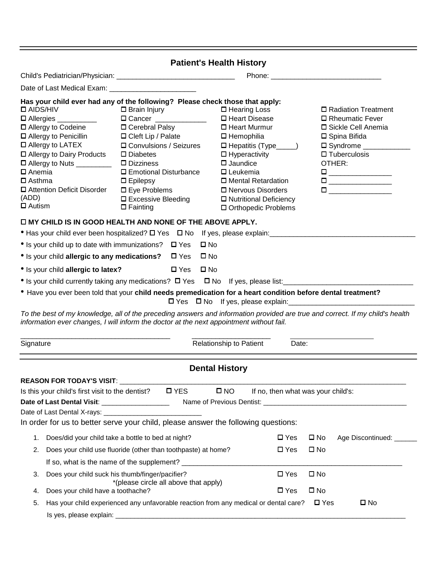|                                                                                                                                                                                                                                                                                          |                                                                                                                                                                                                                                                                                                                                                                                                                                                                                                                                                       | <b>Patient's Health History</b>                                                                                                                                                                                                                                                                 |                                                                                                                                                                                                                                                                                                                             |  |  |  |  |  |  |
|------------------------------------------------------------------------------------------------------------------------------------------------------------------------------------------------------------------------------------------------------------------------------------------|-------------------------------------------------------------------------------------------------------------------------------------------------------------------------------------------------------------------------------------------------------------------------------------------------------------------------------------------------------------------------------------------------------------------------------------------------------------------------------------------------------------------------------------------------------|-------------------------------------------------------------------------------------------------------------------------------------------------------------------------------------------------------------------------------------------------------------------------------------------------|-----------------------------------------------------------------------------------------------------------------------------------------------------------------------------------------------------------------------------------------------------------------------------------------------------------------------------|--|--|--|--|--|--|
|                                                                                                                                                                                                                                                                                          |                                                                                                                                                                                                                                                                                                                                                                                                                                                                                                                                                       |                                                                                                                                                                                                                                                                                                 |                                                                                                                                                                                                                                                                                                                             |  |  |  |  |  |  |
|                                                                                                                                                                                                                                                                                          |                                                                                                                                                                                                                                                                                                                                                                                                                                                                                                                                                       |                                                                                                                                                                                                                                                                                                 |                                                                                                                                                                                                                                                                                                                             |  |  |  |  |  |  |
| $\square$ AIDS/HIV<br>□ Allergies __________<br>□ Allergy to Codeine<br>□ Allergy to Penicillin<br>$\square$ Allergy to LATEX<br>□ Allergy to Dairy Products<br>□ Allergy to Nuts _________<br>□ Anemia<br>$\square$ Asthma<br>□ Attention Deficit Disorder<br>(ADD)<br>$\square$ Autism | Has your child ever had any of the following? Please check those that apply:<br>$\square$ Brain Injury<br><b>D</b> Cancer _____________<br>□ Cerebral Palsy<br>$\Box$ Cleft Lip / Palate<br>□ Convulsions / Seizures<br>$\square$ Diabetes<br>$\square$ Dizziness<br>$\Box$ Emotional Disturbance<br>$\Box$ Epilepsy<br>$\square$ Eye Problems<br>□ Excessive Bleeding<br>$\Box$ Fainting<br>O MY CHILD IS IN GOOD HEALTH AND NONE OF THE ABOVE APPLY.<br>• Has your child ever been hospitalized? $\square$ Yes $\square$ No If yes, please explain: | $\square$ Hearing Loss<br>□ Heart Disease<br>$\Box$ Heart Murmur<br>$\square$ Hemophilia<br>$\Box$ Hepatitis (Type____)<br>$\Box$ Hyperactivity<br>$\square$ Jaundice<br>$\square$ Leukemia<br>□ Mental Retardation<br>□ Nervous Disorders<br>□ Nutritional Deficiency<br>□ Orthopedic Problems | □ Radiation Treatment<br>□ Rheumatic Fever<br>□ Sickle Cell Anemia<br>□ Spina Bifida<br>$\square$ Syndrome $\_\_\_\_\_\_\_\_\_\$<br>$\square$ Tuberculosis<br>OTHER:<br>$\begin{tabular}{ c c c } \hline \quad \quad & \quad \quad & \quad \quad \\ \hline \quad \quad & \quad \quad & \quad \quad \\ \hline \end{tabular}$ |  |  |  |  |  |  |
|                                                                                                                                                                                                                                                                                          | $\square$ No                                                                                                                                                                                                                                                                                                                                                                                                                                                                                                                                          |                                                                                                                                                                                                                                                                                                 |                                                                                                                                                                                                                                                                                                                             |  |  |  |  |  |  |
| • Is your child up to date with immunizations? $\Box$ Yes<br>• Is your child allergic to any medications? $\Box$ Yes<br>$\square$ No                                                                                                                                                     |                                                                                                                                                                                                                                                                                                                                                                                                                                                                                                                                                       |                                                                                                                                                                                                                                                                                                 |                                                                                                                                                                                                                                                                                                                             |  |  |  |  |  |  |
| • Is your child allergic to latex?                                                                                                                                                                                                                                                       | $\square$ Yes<br>$\square$ No                                                                                                                                                                                                                                                                                                                                                                                                                                                                                                                         |                                                                                                                                                                                                                                                                                                 |                                                                                                                                                                                                                                                                                                                             |  |  |  |  |  |  |
|                                                                                                                                                                                                                                                                                          |                                                                                                                                                                                                                                                                                                                                                                                                                                                                                                                                                       |                                                                                                                                                                                                                                                                                                 |                                                                                                                                                                                                                                                                                                                             |  |  |  |  |  |  |
|                                                                                                                                                                                                                                                                                          | • Have you ever been told that your child needs premedication for a heart condition before dental treatment?<br>information ever changes, I will inform the doctor at the next appointment without fail.                                                                                                                                                                                                                                                                                                                                              | $\Box$ Yes $\Box$ No If yes, please explain:                                                                                                                                                                                                                                                    | To the best of my knowledge, all of the preceding answers and information provided are true and correct. If my child's health                                                                                                                                                                                               |  |  |  |  |  |  |
| Signature                                                                                                                                                                                                                                                                                |                                                                                                                                                                                                                                                                                                                                                                                                                                                                                                                                                       | Relationship to Patient<br>Date:                                                                                                                                                                                                                                                                |                                                                                                                                                                                                                                                                                                                             |  |  |  |  |  |  |
|                                                                                                                                                                                                                                                                                          |                                                                                                                                                                                                                                                                                                                                                                                                                                                                                                                                                       |                                                                                                                                                                                                                                                                                                 |                                                                                                                                                                                                                                                                                                                             |  |  |  |  |  |  |
|                                                                                                                                                                                                                                                                                          |                                                                                                                                                                                                                                                                                                                                                                                                                                                                                                                                                       | <b>Dental History</b>                                                                                                                                                                                                                                                                           |                                                                                                                                                                                                                                                                                                                             |  |  |  |  |  |  |
| <b>REASON FOR TODAY'S VISIT: __________________</b>                                                                                                                                                                                                                                      |                                                                                                                                                                                                                                                                                                                                                                                                                                                                                                                                                       |                                                                                                                                                                                                                                                                                                 |                                                                                                                                                                                                                                                                                                                             |  |  |  |  |  |  |
| Is this your child's first visit to the dentist? $\square$ YES                                                                                                                                                                                                                           |                                                                                                                                                                                                                                                                                                                                                                                                                                                                                                                                                       | $\square$ NO<br>If no, then what was your child's:                                                                                                                                                                                                                                              |                                                                                                                                                                                                                                                                                                                             |  |  |  |  |  |  |
| Date of Last Dental Visit: ____________________                                                                                                                                                                                                                                          |                                                                                                                                                                                                                                                                                                                                                                                                                                                                                                                                                       |                                                                                                                                                                                                                                                                                                 |                                                                                                                                                                                                                                                                                                                             |  |  |  |  |  |  |
|                                                                                                                                                                                                                                                                                          | In order for us to better serve your child, please answer the following questions:                                                                                                                                                                                                                                                                                                                                                                                                                                                                    |                                                                                                                                                                                                                                                                                                 |                                                                                                                                                                                                                                                                                                                             |  |  |  |  |  |  |
| 1.                                                                                                                                                                                                                                                                                       |                                                                                                                                                                                                                                                                                                                                                                                                                                                                                                                                                       | $\square$ Yes                                                                                                                                                                                                                                                                                   | $\square$ No                                                                                                                                                                                                                                                                                                                |  |  |  |  |  |  |
| 2.                                                                                                                                                                                                                                                                                       | Does/did your child take a bottle to bed at night?<br>Does your child use fluoride (other than toothpaste) at home?                                                                                                                                                                                                                                                                                                                                                                                                                                   | $\square$ Yes                                                                                                                                                                                                                                                                                   | Age Discontinued: ______<br>$\square$ No                                                                                                                                                                                                                                                                                    |  |  |  |  |  |  |
|                                                                                                                                                                                                                                                                                          |                                                                                                                                                                                                                                                                                                                                                                                                                                                                                                                                                       |                                                                                                                                                                                                                                                                                                 |                                                                                                                                                                                                                                                                                                                             |  |  |  |  |  |  |
| 3.                                                                                                                                                                                                                                                                                       | Does your child suck his thumb/finger/pacifier?                                                                                                                                                                                                                                                                                                                                                                                                                                                                                                       | $\square$ Yes                                                                                                                                                                                                                                                                                   | $\square$ No                                                                                                                                                                                                                                                                                                                |  |  |  |  |  |  |
| Does your child have a toothache?<br>4.                                                                                                                                                                                                                                                  | *(please circle all above that apply)                                                                                                                                                                                                                                                                                                                                                                                                                                                                                                                 | $\square$ Yes                                                                                                                                                                                                                                                                                   | $\square$ No                                                                                                                                                                                                                                                                                                                |  |  |  |  |  |  |